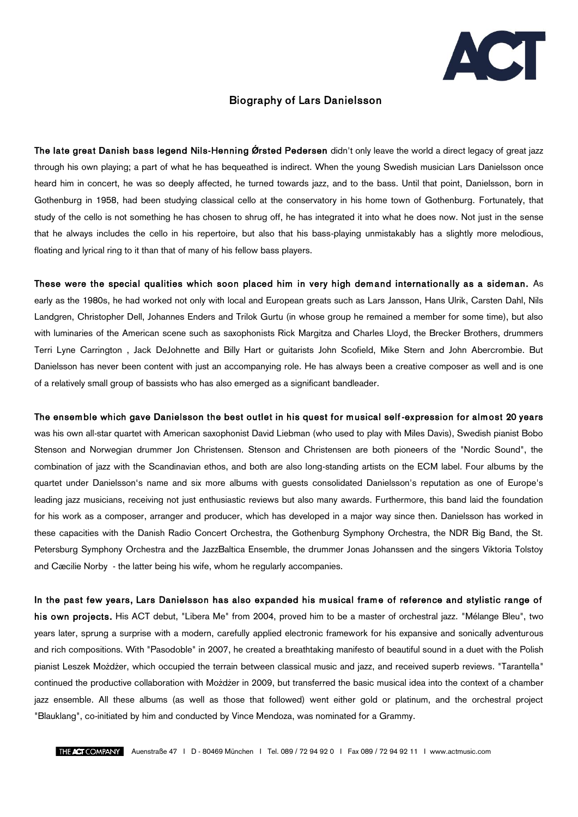

## Biography of Lars Danielsson

The late great Danish bass legend Nils-Henning Ørsted Pedersen didn't only leave the world a direct legacy of great jazz through his own playing; a part of what he has bequeathed is indirect. When the young Swedish musician Lars Danielsson once heard him in concert, he was so deeply affected, he turned towards jazz, and to the bass. Until that point, Danielsson, born in Gothenburg in 1958, had been studying classical cello at the conservatory in his home town of Gothenburg. Fortunately, that study of the cello is not something he has chosen to shrug off, he has integrated it into what he does now. Not just in the sense that he always includes the cello in his repertoire, but also that his bass-playing unmistakably has a slightly more melodious, floating and lyrical ring to it than that of many of his fellow bass players.

These were the special qualities which soon placed him in very high demand internationally as a sideman. As early as the 1980s, he had worked not only with local and European greats such as Lars Jansson, Hans Ulrik, Carsten Dahl, Nils Landgren, Christopher Dell, Johannes Enders and Trilok Gurtu (in whose group he remained a member for some time), but also with luminaries of the American scene such as saxophonists Rick Margitza and Charles Lloyd, the Brecker Brothers, drummers Terri Lyne Carrington , Jack DeJohnette and Billy Hart or guitarists John Scofield, Mike Stern and John Abercrombie. But Danielsson has never been content with just an accompanying role. He has always been a creative composer as well and is one of a relatively small group of bassists who has also emerged as a significant bandleader.

## The ensemble which gave Danielsson the best outlet in his quest for musical self-expression for almost 20 years

was his own all-star quartet with American saxophonist David Liebman (who used to play with Miles Davis), Swedish pianist Bobo Stenson and Norwegian drummer Jon Christensen. Stenson and Christensen are both pioneers of the "Nordic Sound", the combination of jazz with the Scandinavian ethos, and both are also long-standing artists on the ECM label. Four albums by the quartet under Danielsson's name and six more albums with guests consolidated Danielsson's reputation as one of Europe's leading jazz musicians, receiving not just enthusiastic reviews but also many awards. Furthermore, this band laid the foundation for his work as a composer, arranger and producer, which has developed in a major way since then. Danielsson has worked in these capacities with the Danish Radio Concert Orchestra, the Gothenburg Symphony Orchestra, the NDR Big Band, the St. Petersburg Symphony Orchestra and the JazzBaltica Ensemble, the drummer Jonas Johanssen and the singers Viktoria Tolstoy and Cæcilie Norby - the latter being his wife, whom he regularly accompanies.

In the past few years, Lars Danielsson has also expanded his musical frame of reference and stylistic range of his own projects. His ACT debut, "Libera Me" from 2004, proved him to be a master of orchestral jazz. "Mélange Bleu", two years later, sprung a surprise with a modern, carefully applied electronic framework for his expansive and sonically adventurous and rich compositions. With "Pasodoble" in 2007, he created a breathtaking manifesto of beautiful sound in a duet with the Polish pianist Leszek Możdżer, which occupied the terrain between classical music and jazz, and received superb reviews. "Tarantella" continued the productive collaboration with Możdżer in 2009, but transferred the basic musical idea into the context of a chamber jazz ensemble. All these albums (as well as those that followed) went either gold or platinum, and the orchestral project "Blauklang", co-initiated by him and conducted by Vince Mendoza, was nominated for a Grammy.